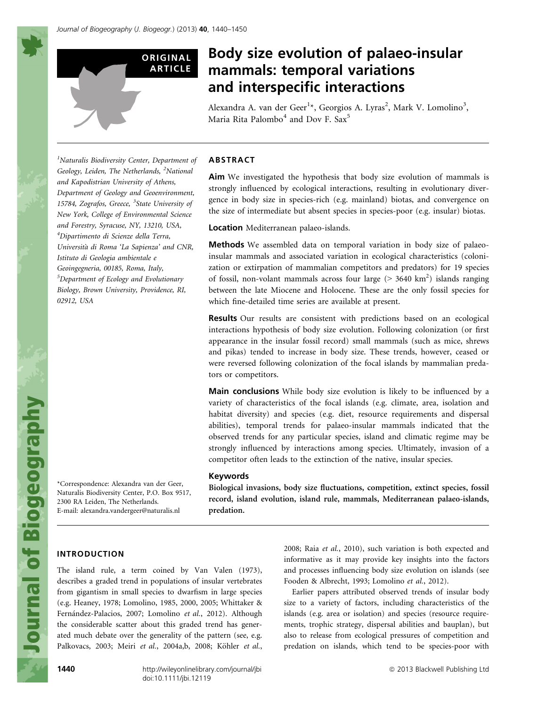

# Body size evolution of palaeo-insular mammals: temporal variations and interspecific interactions

Alexandra A. van der Geer<sup>1</sup>\*, Georgios A. Lyras<sup>2</sup>, Mark V. Lomolino<sup>3</sup>, Maria Rita Palombo<sup>4</sup> and Dov F. Sax<sup>5</sup>

# ABSTRACT

Aim We investigated the hypothesis that body size evolution of mammals is strongly influenced by ecological interactions, resulting in evolutionary divergence in body size in species-rich (e.g. mainland) biotas, and convergence on the size of intermediate but absent species in species-poor (e.g. insular) biotas.

Location Mediterranean palaeo-islands.

Methods We assembled data on temporal variation in body size of palaeoinsular mammals and associated variation in ecological characteristics (colonization or extirpation of mammalian competitors and predators) for 19 species of fossil, non-volant mammals across four large (> 3640 km<sup>2</sup>) islands ranging between the late Miocene and Holocene. These are the only fossil species for which fine-detailed time series are available at present.

Results Our results are consistent with predictions based on an ecological interactions hypothesis of body size evolution. Following colonization (or first appearance in the insular fossil record) small mammals (such as mice, shrews and pikas) tended to increase in body size. These trends, however, ceased or were reversed following colonization of the focal islands by mammalian predators or competitors.

Main conclusions While body size evolution is likely to be influenced by a variety of characteristics of the focal islands (e.g. climate, area, isolation and habitat diversity) and species (e.g. diet, resource requirements and dispersal abilities), temporal trends for palaeo-insular mammals indicated that the observed trends for any particular species, island and climatic regime may be strongly influenced by interactions among species. Ultimately, invasion of a competitor often leads to the extinction of the native, insular species.

#### Keywords

Biological invasions, body size fluctuations, competition, extinct species, fossil record, island evolution, island rule, mammals, Mediterranean palaeo-islands, predation.

# Geology, Leiden, The Netherlands, <sup>2</sup>National and Kapodistrian University of Athens, Department of Geology and Geoenvironment, 15784, Zografos, Greece, <sup>3</sup>State University of New York, College of Environmental Science and Forestry, Syracuse, NY, 13210, USA, 4 Dipartimento di Scienze della Terra, Universita di Roma 'La Sapienza' and CNR, Istituto di Geologia ambientale e Geoingegneria, 00185, Roma, Italy, 5 Department of Ecology and Evolutionary Biology, Brown University, Providence, RI, 02912, USA

<sup>1</sup>Naturalis Biodiversity Center, Department of

\*Correspondence: Alexandra van der Geer, Naturalis Biodiversity Center, P.O. Box 9517, 2300 RA Leiden, The Netherlands. E-mail: alexandra.vandergeer@naturalis.nl

# INTRODUCTION

The island rule, a term coined by Van Valen (1973), describes a graded trend in populations of insular vertebrates from gigantism in small species to dwarfism in large species (e.g. Heaney, 1978; Lomolino, 1985, 2000, 2005; Whittaker & Fernández-Palacios, 2007; Lomolino et al., 2012). Although the considerable scatter about this graded trend has generated much debate over the generality of the pattern (see, e.g. Palkovacs, 2003; Meiri et al., 2004a,b, 2008; Köhler et al.,

2008; Raia et al., 2010), such variation is both expected and informative as it may provide key insights into the factors and processes influencing body size evolution on islands (see Fooden & Albrecht, 1993; Lomolino et al., 2012).

Earlier papers attributed observed trends of insular body size to a variety of factors, including characteristics of the islands (e.g. area or isolation) and species (resource requirements, trophic strategy, dispersal abilities and bauplan), but also to release from ecological pressures of competition and predation on islands, which tend to be species-poor with

**Journal of Biogeography**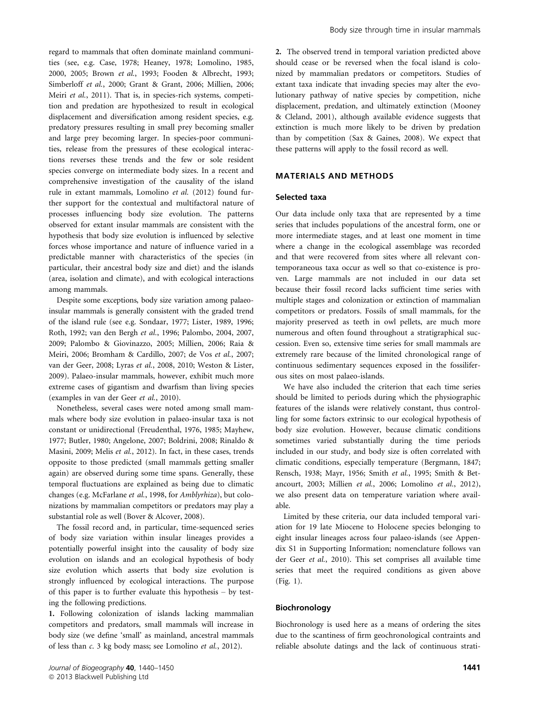regard to mammals that often dominate mainland communities (see, e.g. Case, 1978; Heaney, 1978; Lomolino, 1985, 2000, 2005; Brown et al., 1993; Fooden & Albrecht, 1993; Simberloff et al., 2000; Grant & Grant, 2006; Millien, 2006; Meiri et al., 2011). That is, in species-rich systems, competition and predation are hypothesized to result in ecological displacement and diversification among resident species, e.g. predatory pressures resulting in small prey becoming smaller and large prey becoming larger. In species-poor communities, release from the pressures of these ecological interactions reverses these trends and the few or sole resident species converge on intermediate body sizes. In a recent and comprehensive investigation of the causality of the island rule in extant mammals, Lomolino et al. (2012) found further support for the contextual and multifactoral nature of processes influencing body size evolution. The patterns observed for extant insular mammals are consistent with the hypothesis that body size evolution is influenced by selective forces whose importance and nature of influence varied in a predictable manner with characteristics of the species (in particular, their ancestral body size and diet) and the islands (area, isolation and climate), and with ecological interactions among mammals.

Despite some exceptions, body size variation among palaeoinsular mammals is generally consistent with the graded trend of the island rule (see e.g. Sondaar, 1977; Lister, 1989, 1996; Roth, 1992; van den Bergh et al., 1996; Palombo, 2004, 2007, 2009; Palombo & Giovinazzo, 2005; Millien, 2006; Raia & Meiri, 2006; Bromham & Cardillo, 2007; de Vos et al., 2007; van der Geer, 2008; Lyras et al., 2008, 2010; Weston & Lister, 2009). Palaeo-insular mammals, however, exhibit much more extreme cases of gigantism and dwarfism than living species (examples in van der Geer et al., 2010).

Nonetheless, several cases were noted among small mammals where body size evolution in palaeo-insular taxa is not constant or unidirectional (Freudenthal, 1976, 1985; Mayhew, 1977; Butler, 1980; Angelone, 2007; Boldrini, 2008; Rinaldo & Masini, 2009; Melis et al., 2012). In fact, in these cases, trends opposite to those predicted (small mammals getting smaller again) are observed during some time spans. Generally, these temporal fluctuations are explained as being due to climatic changes (e.g. McFarlane et al., 1998, for Amblyrhiza), but colonizations by mammalian competitors or predators may play a substantial role as well (Bover & Alcover, 2008).

The fossil record and, in particular, time-sequenced series of body size variation within insular lineages provides a potentially powerful insight into the causality of body size evolution on islands and an ecological hypothesis of body size evolution which asserts that body size evolution is strongly influenced by ecological interactions. The purpose of this paper is to further evaluate this hypothesis – by testing the following predictions.

1. Following colonization of islands lacking mammalian competitors and predators, small mammals will increase in body size (we define 'small' as mainland, ancestral mammals of less than c. 3 kg body mass; see Lomolino et al., 2012).

2. The observed trend in temporal variation predicted above should cease or be reversed when the focal island is colonized by mammalian predators or competitors. Studies of extant taxa indicate that invading species may alter the evolutionary pathway of native species by competition, niche displacement, predation, and ultimately extinction (Mooney & Cleland, 2001), although available evidence suggests that extinction is much more likely to be driven by predation than by competition (Sax & Gaines, 2008). We expect that these patterns will apply to the fossil record as well.

### MATERIALS AND METHODS

#### Selected taxa

Our data include only taxa that are represented by a time series that includes populations of the ancestral form, one or more intermediate stages, and at least one moment in time where a change in the ecological assemblage was recorded and that were recovered from sites where all relevant contemporaneous taxa occur as well so that co-existence is proven. Large mammals are not included in our data set because their fossil record lacks sufficient time series with multiple stages and colonization or extinction of mammalian competitors or predators. Fossils of small mammals, for the majority preserved as teeth in owl pellets, are much more numerous and often found throughout a stratigraphical succession. Even so, extensive time series for small mammals are extremely rare because of the limited chronological range of continuous sedimentary sequences exposed in the fossiliferous sites on most palaeo-islands.

We have also included the criterion that each time series should be limited to periods during which the physiographic features of the islands were relatively constant, thus controlling for some factors extrinsic to our ecological hypothesis of body size evolution. However, because climatic conditions sometimes varied substantially during the time periods included in our study, and body size is often correlated with climatic conditions, especially temperature (Bergmann, 1847; Rensch, 1938; Mayr, 1956; Smith et al., 1995; Smith & Betancourt, 2003; Millien et al., 2006; Lomolino et al., 2012), we also present data on temperature variation where available.

Limited by these criteria, our data included temporal variation for 19 late Miocene to Holocene species belonging to eight insular lineages across four palaeo-islands (see Appendix S1 in Supporting Information; nomenclature follows van der Geer et al., 2010). This set comprises all available time series that meet the required conditions as given above (Fig. 1).

### Biochronology

Biochronology is used here as a means of ordering the sites due to the scantiness of firm geochronological contraints and reliable absolute datings and the lack of continuous strati-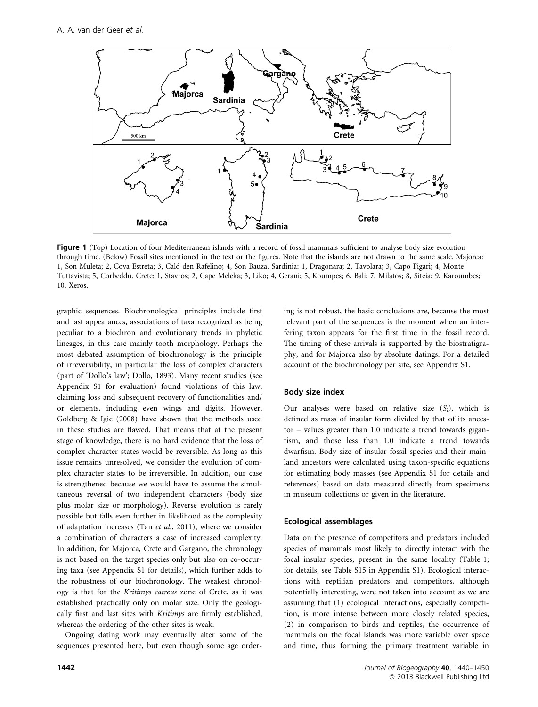

Figure 1 (Top) Location of four Mediterranean islands with a record of fossil mammals sufficient to analyse body size evolution through time. (Below) Fossil sites mentioned in the text or the figures. Note that the islands are not drawn to the same scale. Majorca: 1, Son Muleta; 2, Cova Estreta; 3, Calo den Rafelino; 4, Son Bauza. Sardinia: 1, Dragonara; 2, Tavolara; 3, Capo Figari; 4, Monte Tuttavista; 5, Corbeddu. Crete: 1, Stavros; 2, Cape Meleka; 3, Liko; 4, Gerani; 5, Koumpes; 6, Bali; 7, Milatos; 8, Siteia; 9, Karoumbes; 10, Xeros.

graphic sequences. Biochronological principles include first and last appearances, associations of taxa recognized as being peculiar to a biochron and evolutionary trends in phyletic lineages, in this case mainly tooth morphology. Perhaps the most debated assumption of biochronology is the principle of irreversibility, in particular the loss of complex characters (part of 'Dollo's law'; Dollo, 1893). Many recent studies (see Appendix S1 for evaluation) found violations of this law, claiming loss and subsequent recovery of functionalities and/ or elements, including even wings and digits. However, Goldberg & Igic (2008) have shown that the methods used in these studies are flawed. That means that at the present stage of knowledge, there is no hard evidence that the loss of complex character states would be reversible. As long as this issue remains unresolved, we consider the evolution of complex character states to be irreversible. In addition, our case is strengthened because we would have to assume the simultaneous reversal of two independent characters (body size plus molar size or morphology). Reverse evolution is rarely possible but falls even further in likelihood as the complexity of adaptation increases (Tan et al., 2011), where we consider a combination of characters a case of increased complexity. In addition, for Majorca, Crete and Gargano, the chronology is not based on the target species only but also on co-occuring taxa (see Appendix S1 for details), which further adds to the robustness of our biochronology. The weakest chronology is that for the Kritimys catreus zone of Crete, as it was established practically only on molar size. Only the geologically first and last sites with Kritimys are firmly established, whereas the ordering of the other sites is weak.

Ongoing dating work may eventually alter some of the sequences presented here, but even though some age order-

1442

ing is not robust, the basic conclusions are, because the most relevant part of the sequences is the moment when an interfering taxon appears for the first time in the fossil record. The timing of these arrivals is supported by the biostratigraphy, and for Majorca also by absolute datings. For a detailed account of the biochronology per site, see Appendix S1.

### Body size index

Our analyses were based on relative size  $(S_i)$ , which is defined as mass of insular form divided by that of its ancestor – values greater than 1.0 indicate a trend towards gigantism, and those less than 1.0 indicate a trend towards dwarfism. Body size of insular fossil species and their mainland ancestors were calculated using taxon-specific equations for estimating body masses (see Appendix S1 for details and references) based on data measured directly from specimens in museum collections or given in the literature.

### Ecological assemblages

Data on the presence of competitors and predators included species of mammals most likely to directly interact with the focal insular species, present in the same locality (Table 1; for details, see Table S15 in Appendix S1). Ecological interactions with reptilian predators and competitors, although potentially interesting, were not taken into account as we are assuming that (1) ecological interactions, especially competition, is more intense between more closely related species, (2) in comparison to birds and reptiles, the occurrence of mammals on the focal islands was more variable over space and time, thus forming the primary treatment variable in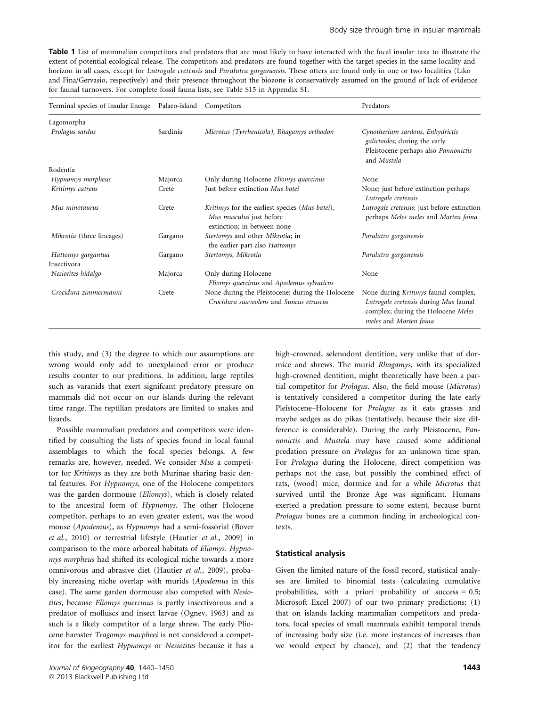Table 1 List of mammalian competitors and predators that are most likely to have interacted with the focal insular taxa to illustrate the extent of potential ecological release. The competitors and predators are found together with the target species in the same locality and horizon in all cases, except for Lutrogale cretensis and Paralutra garganensis. These otters are found only in one or two localities (Liko and Fina/Gervasio, respectively) and their presence throughout the biozone is conservatively assumed on the ground of lack of evidence for faunal turnovers. For complete fossil fauna lists, see Table S15 in Appendix S1.

| Terminal species of insular lineage | Palaeo-island | Competitors                                                                                               | Predators                                                                                                                                     |
|-------------------------------------|---------------|-----------------------------------------------------------------------------------------------------------|-----------------------------------------------------------------------------------------------------------------------------------------------|
| Lagomorpha                          |               |                                                                                                           |                                                                                                                                               |
| Prolagus sardus                     | Sardinia      | Microtus (Tyrrhenicola), Rhagamys orthodon                                                                | Cynotherium sardous, Enhydrictis<br>galictoides; during the early<br>Pleistocene perhaps also Pannonictis<br>and Mustela                      |
| Rodentia                            |               |                                                                                                           |                                                                                                                                               |
| Hypnomys morpheus                   | Majorca       | Only during Holocene Eliomys quercinus                                                                    | None                                                                                                                                          |
| Kritimys catreus                    | Crete         | Just before extinction Mus batei                                                                          | None; just before extinction perhaps<br>Lutrogale cretensis                                                                                   |
| Mus minotaurus                      | Crete         | Kritimys for the earliest species (Mus batei),<br>Mus musculus just before<br>extinction; in between none | Lutrogale cretensis; just before extinction<br>perhaps Meles meles and Marten foina                                                           |
| Mikrotia (three lineages)           | Gargano       | Stertomys and other Mikrotia; in<br>the earlier part also Hattomys                                        | Paralutra garganensis                                                                                                                         |
| Hattomys gargantua                  | Gargano       | Stertomys, Mikrotia                                                                                       | Paralutra garganensis                                                                                                                         |
| Insectivora                         |               |                                                                                                           |                                                                                                                                               |
| Nesiotites hidalgo                  | Majorca       | Only during Holocene<br>Eliomys quercinus and Apodemus sylvaticus                                         | None                                                                                                                                          |
| Crocidura zimmermanni               | Crete         | None during the Pleistocene; during the Holocene<br>Crocidura suaveolens and Suncus etruscus              | None during Kritimys faunal complex,<br>Lutrogale cretensis during Mus faunal<br>complex; during the Holocene Meles<br>meles and Marten foina |

this study, and (3) the degree to which our assumptions are wrong would only add to unexplained error or produce results counter to our preditions. In addition, large reptiles such as varanids that exert signifcant predatory pressure on mammals did not occur on our islands during the relevant time range. The reptilian predators are limited to snakes and lizards.

Possible mammalian predators and competitors were identified by consulting the lists of species found in local faunal assemblages to which the focal species belongs. A few remarks are, however, needed. We consider Mus a competitor for Kritimys as they are both Murinae sharing basic dental features. For Hypnomys, one of the Holocene competitors was the garden dormouse (Eliomys), which is closely related to the ancestral form of Hypnomys. The other Holocene competitor, perhaps to an even greater extent, was the wood mouse (Apodemus), as Hypnomys had a semi-fossorial (Bover et al., 2010) or terrestrial lifestyle (Hautier et al., 2009) in comparison to the more arboreal habitats of Eliomys. Hypnomys morpheus had shifted its ecological niche towards a more omnivorous and abrasive diet (Hautier et al., 2009), probably increasing niche overlap with murids (Apodemus in this case). The same garden dormouse also competed with Nesiotites, because Eliomys quercinus is partly insectivorous and a predator of molluscs and insect larvae (Ognev, 1963) and as such is a likely competitor of a large shrew. The early Pliocene hamster Tragomys macpheei is not considered a competitor for the earliest Hypnomys or Nesiotites because it has a

high-crowned, selenodont dentition, very unlike that of dormice and shrews. The murid Rhagamys, with its specialized high-crowned dentition, might theoretically have been a partial competitor for Prolagus. Also, the field mouse (Microtus) is tentatively considered a competitor during the late early Pleistocene–Holocene for Prolagus as it eats grasses and maybe sedges as do pikas (tentatively, because their size difference is considerable). During the early Pleistocene, Pannonictis and Mustela may have caused some additional predation pressure on Prolagus for an unknown time span. For Prolagus during the Holocene, direct competition was perhaps not the case, but possibly the combined effect of rats, (wood) mice, dormice and for a while Microtus that survived until the Bronze Age was significant. Humans exerted a predation pressure to some extent, because burnt Prolagus bones are a common finding in archeological contexts.

### Statistical analysis

Given the limited nature of the fossil record, statistical analyses are limited to binomial tests (calculating cumulative probabilities, with a priori probability of success  $= 0.5$ ; Microsoft Excel 2007) of our two primary predictions: (1) that on islands lacking mammalian competitors and predators, focal species of small mammals exhibit temporal trends of increasing body size (i.e. more instances of increases than we would expect by chance), and (2) that the tendency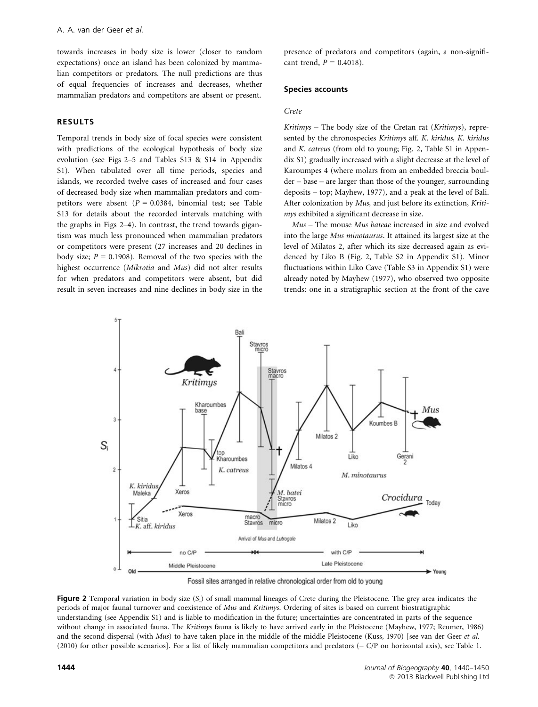towards increases in body size is lower (closer to random expectations) once an island has been colonized by mammalian competitors or predators. The null predictions are thus of equal frequencies of increases and decreases, whether mammalian predators and competitors are absent or present.

### RESULTS

Temporal trends in body size of focal species were consistent with predictions of the ecological hypothesis of body size evolution (see Figs 2–5 and Tables S13 & S14 in Appendix S1). When tabulated over all time periods, species and islands, we recorded twelve cases of increased and four cases of decreased body size when mammalian predators and competitors were absent ( $P = 0.0384$ , binomial test; see Table S13 for details about the recorded intervals matching with the graphs in Figs 2–4). In contrast, the trend towards gigantism was much less pronounced when mammalian predators or competitors were present (27 increases and 20 declines in body size;  $P = 0.1908$ ). Removal of the two species with the highest occurrence (Mikrotia and Mus) did not alter results for when predators and competitors were absent, but did result in seven increases and nine declines in body size in the presence of predators and competitors (again, a non-significant trend,  $P = 0.4018$ .

#### Species accounts

#### Crete

Kritimys – The body size of the Cretan rat (Kritimys), represented by the chronospecies Kritimys aff. K. kiridus, K. kiridus and K. catreus (from old to young; Fig. 2, Table S1 in Appendix S1) gradually increased with a slight decrease at the level of Karoumpes 4 (where molars from an embedded breccia boulder – base – are larger than those of the younger, surrounding deposits – top; Mayhew, 1977), and a peak at the level of Bali. After colonization by Mus, and just before its extinction, Kritimys exhibited a significant decrease in size.

Mus – The mouse Mus bateae increased in size and evolved into the large Mus minotaurus. It attained its largest size at the level of Milatos 2, after which its size decreased again as evidenced by Liko B (Fig. 2, Table S2 in Appendix S1). Minor fluctuations within Liko Cave (Table S3 in Appendix S1) were already noted by Mayhew (1977), who observed two opposite trends: one in a stratigraphic section at the front of the cave



Fossil sites arranged in relative chronological order from old to young

Figure 2 Temporal variation in body size  $(S_i)$  of small mammal lineages of Crete during the Pleistocene. The grey area indicates the periods of major faunal turnover and coexistence of Mus and Kritimys. Ordering of sites is based on current biostratigraphic understanding (see Appendix S1) and is liable to modification in the future; uncertainties are concentrated in parts of the sequence without change in associated fauna. The Kritimys fauna is likely to have arrived early in the Pleistocene (Mayhew, 1977; Reumer, 1986) and the second dispersal (with Mus) to have taken place in the middle of the middle Pleistocene (Kuss, 1970) [see van der Geer et al. (2010) for other possible scenarios]. For a list of likely mammalian competitors and predators (= C/P on horizontal axis), see Table 1.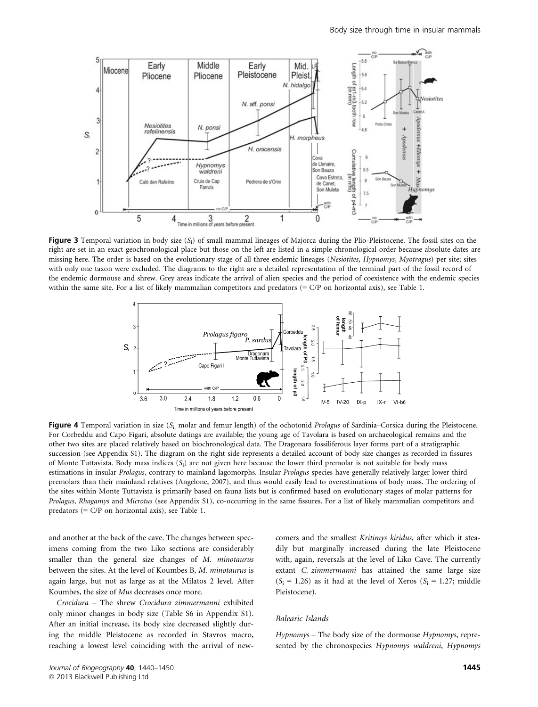

**Figure 3** Temporal variation in body size  $(S_i)$  of small mammal lineages of Majorca during the Plio-Pleistocene. The fossil sites on the right are set in an exact geochronological place but those on the left are listed in a simple chronological order because absolute dates are missing here. The order is based on the evolutionary stage of all three endemic lineages (Nesiotites, Hypnomys, Myotragus) per site; sites with only one taxon were excluded. The diagrams to the right are a detailed representation of the terminal part of the fossil record of the endemic dormouse and shrew. Grey areas indicate the arrival of alien species and the period of coexistence with the endemic species within the same site. For a list of likely mammalian competitors and predators  $(= C/P)$  on horizontal axis), see Table 1.



Figure 4 Temporal variation in size  $(S_i)$ , molar and femur length) of the ochotonid Prolagus of Sardinia–Corsica during the Pleistocene. For Corbeddu and Capo Figari, absolute datings are available; the young age of Tavolara is based on archaeological remains and the other two sites are placed relatively based on biochronological data. The Dragonara fossiliferous layer forms part of a stratigraphic succession (see Appendix S1). The diagram on the right side represents a detailed account of body size changes as recorded in fissures of Monte Tuttavista. Body mass indices  $(S_i)$  are not given here because the lower third premolar is not suitable for body mass estimations in insular Prolagus, contrary to mainland lagomorphs. Insular Prolagus species have generally relatively larger lower third premolars than their mainland relatives (Angelone, 2007), and thus would easily lead to overestimations of body mass. The ordering of the sites within Monte Tuttavista is primarily based on fauna lists but is confirmed based on evolutionary stages of molar patterns for Prolagus, Rhagamys and Microtus (see Appendix S1), co-occurring in the same fissures. For a list of likely mammalian competitors and predators (= C/P on horizontal axis), see Table 1.

and another at the back of the cave. The changes between specimens coming from the two Liko sections are considerably smaller than the general size changes of M. minotaurus between the sites. At the level of Koumbes B, M. minotaurus is again large, but not as large as at the Milatos 2 level. After Koumbes, the size of Mus decreases once more.

Crocidura – The shrew Crocidura zimmermanni exhibited only minor changes in body size (Table S6 in Appendix S1). After an initial increase, its body size decreased slightly during the middle Pleistocene as recorded in Stavros macro, reaching a lowest level coinciding with the arrival of newcomers and the smallest Kritimys kiridus, after which it steadily but marginally increased during the late Pleistocene with, again, reversals at the level of Liko Cave. The currently extant C. zimmermanni has attained the same large size  $(S_i = 1.26)$  as it had at the level of Xeros  $(S_i = 1.27;$  middle Pleistocene).

#### Balearic Islands

Hypnomys – The body size of the dormouse Hypnomys, represented by the chronospecies Hypnomys waldreni, Hypnomys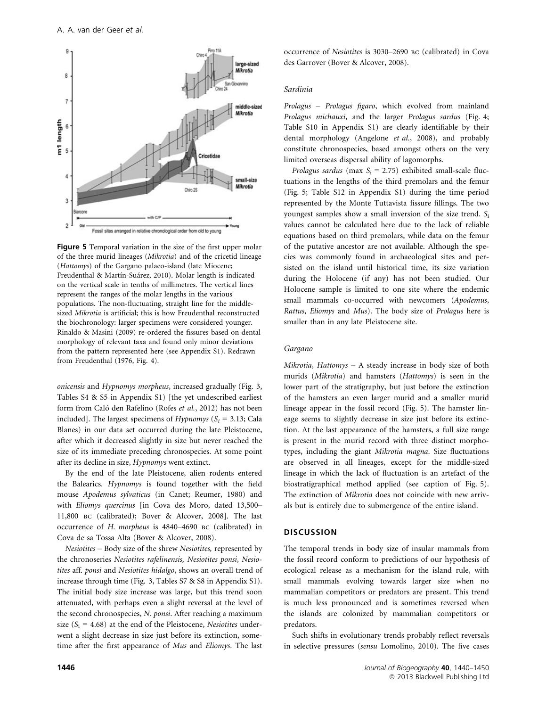

**Figure 5** Temporal variation in the size of the first upper molar of the three murid lineages (Mikrotia) and of the cricetid lineage (Hattomys) of the Gargano palaeo-island (late Miocene; Freudenthal & Martín-Suárez, 2010). Molar length is indicated on the vertical scale in tenths of millimetres. The vertical lines represent the ranges of the molar lengths in the various populations. The non-fluctuating, straight line for the middlesized Mikrotia is artificial; this is how Freudenthal reconstructed the biochronology: larger specimens were considered younger. Rinaldo & Masini (2009) re-ordered the fissures based on dental morphology of relevant taxa and found only minor deviations from the pattern represented here (see Appendix S1). Redrawn from Freudenthal (1976, Fig. 4).

onicensis and Hypnomys morpheus, increased gradually (Fig. 3, Tables S4 & S5 in Appendix S1) [the yet undescribed earliest form from Caló den Rafelino (Rofes et al., 2012) has not been included]. The largest specimens of  $Hypnomys$  ( $S_i = 3.13$ ; Cala Blanes) in our data set occurred during the late Pleistocene, after which it decreased slightly in size but never reached the size of its immediate preceding chronospecies. At some point after its decline in size, Hypnomys went extinct.

By the end of the late Pleistocene, alien rodents entered the Balearics. Hypnomys is found together with the field mouse Apodemus sylvaticus (in Canet; Reumer, 1980) and with Eliomys quercinus [in Cova des Moro, dated 13,500– 11,800 bc (calibrated); Bover & Alcover, 2008]. The last occurrence of H. morpheus is 4840–4690 bc (calibrated) in Cova de sa Tossa Alta (Bover & Alcover, 2008).

Nesiotites – Body size of the shrew Nesiotites, represented by the chronoseries Nesiotites rafelinensis, Nesiotites ponsi, Nesiotites aff. ponsi and Nesiotites hidalgo, shows an overall trend of increase through time (Fig. 3, Tables S7 & S8 in Appendix S1). The initial body size increase was large, but this trend soon attenuated, with perhaps even a slight reversal at the level of the second chronospecies, N. ponsi. After reaching a maximum size ( $S_i = 4.68$ ) at the end of the Pleistocene, Nesiotites underwent a slight decrease in size just before its extinction, sometime after the first appearance of Mus and Eliomys. The last

1446

occurrence of Nesiotites is 3030–2690 bc (calibrated) in Cova des Garrover (Bover & Alcover, 2008).

#### Sardinia

Prolagus – Prolagus figaro, which evolved from mainland Prolagus michauxi, and the larger Prolagus sardus (Fig. 4; Table S10 in Appendix S1) are clearly identifiable by their dental morphology (Angelone et al., 2008), and probably constitute chronospecies, based amongst others on the very limited overseas dispersal ability of lagomorphs.

Prolagus sardus (max  $S_i = 2.75$ ) exhibited small-scale fluctuations in the lengths of the third premolars and the femur (Fig. 5; Table S12 in Appendix S1) during the time period represented by the Monte Tuttavista fissure fillings. The two youngest samples show a small inversion of the size trend.  $S_i$ values cannot be calculated here due to the lack of reliable equations based on third premolars, while data on the femur of the putative ancestor are not available. Although the species was commonly found in archaeological sites and persisted on the island until historical time, its size variation during the Holocene (if any) has not been studied. Our Holocene sample is limited to one site where the endemic small mammals co-occurred with newcomers (Apodemus, Rattus, Eliomys and Mus). The body size of Prolagus here is smaller than in any late Pleistocene site.

### Gargano

Mikrotia, Hattomys – A steady increase in body size of both murids (Mikrotia) and hamsters (Hattomys) is seen in the lower part of the stratigraphy, but just before the extinction of the hamsters an even larger murid and a smaller murid lineage appear in the fossil record (Fig. 5). The hamster lineage seems to slightly decrease in size just before its extinction. At the last appearance of the hamsters, a full size range is present in the murid record with three distinct morphotypes, including the giant Mikrotia magna. Size fluctuations are observed in all lineages, except for the middle-sized lineage in which the lack of fluctuation is an artefact of the biostratigraphical method applied (see caption of Fig. 5). The extinction of Mikrotia does not coincide with new arrivals but is entirely due to submergence of the entire island.

# DISCUSSION

The temporal trends in body size of insular mammals from the fossil record conform to predictions of our hypothesis of ecological release as a mechanism for the island rule, with small mammals evolving towards larger size when no mammalian competitors or predators are present. This trend is much less pronounced and is sometimes reversed when the islands are colonized by mammalian competitors or predators.

Such shifts in evolutionary trends probably reflect reversals in selective pressures (sensu Lomolino, 2010). The five cases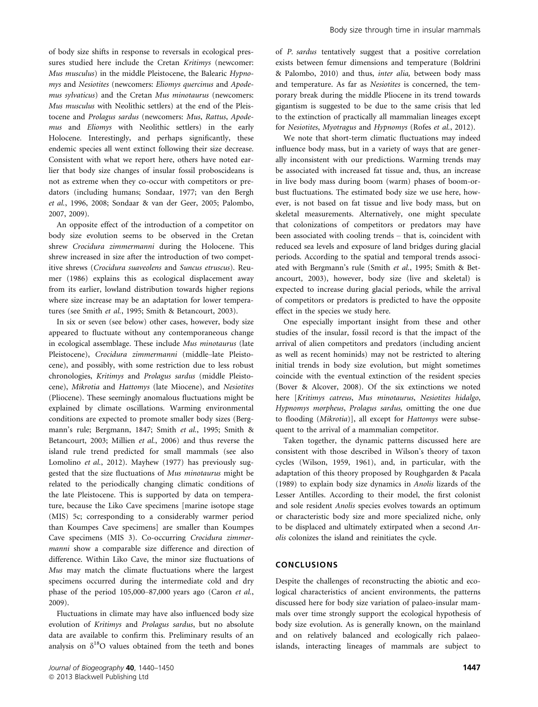of body size shifts in response to reversals in ecological pressures studied here include the Cretan Kritimys (newcomer: Mus musculus) in the middle Pleistocene, the Balearic Hypnomys and Nesiotites (newcomers: Eliomys quercinus and Apodemus sylvaticus) and the Cretan Mus minotaurus (newcomers: Mus musculus with Neolithic settlers) at the end of the Pleistocene and Prolagus sardus (newcomers: Mus, Rattus, Apodemus and Eliomys with Neolithic settlers) in the early Holocene. Interestingly, and perhaps significantly, these endemic species all went extinct following their size decrease. Consistent with what we report here, others have noted earlier that body size changes of insular fossil proboscideans is not as extreme when they co-occur with competitors or predators (including humans; Sondaar, 1977; van den Bergh et al., 1996, 2008; Sondaar & van der Geer, 2005; Palombo, 2007, 2009).

An opposite effect of the introduction of a competitor on body size evolution seems to be observed in the Cretan shrew Crocidura zimmermanni during the Holocene. This shrew increased in size after the introduction of two competitive shrews (Crocidura suaveolens and Suncus etruscus). Reumer (1986) explains this as ecological displacement away from its earlier, lowland distribution towards higher regions where size increase may be an adaptation for lower temperatures (see Smith et al., 1995; Smith & Betancourt, 2003).

In six or seven (see below) other cases, however, body size appeared to fluctuate without any contemporaneous change in ecological assemblage. These include Mus minotaurus (late Pleistocene), Crocidura zimmermanni (middle–late Pleistocene), and possibly, with some restriction due to less robust chronologies, Kritimys and Prolagus sardus (middle Pleistocene), Mikrotia and Hattomys (late Miocene), and Nesiotites (Pliocene). These seemingly anomalous fluctuations might be explained by climate oscillations. Warming environmental conditions are expected to promote smaller body sizes (Bergmann's rule; Bergmann, 1847; Smith et al., 1995; Smith & Betancourt, 2003; Millien et al., 2006) and thus reverse the island rule trend predicted for small mammals (see also Lomolino et al., 2012). Mayhew (1977) has previously suggested that the size fluctuations of Mus minotaurus might be related to the periodically changing climatic conditions of the late Pleistocene. This is supported by data on temperature, because the Liko Cave specimens [marine isotope stage (MIS) 5c; corresponding to a considerably warmer period than Koumpes Cave specimens] are smaller than Koumpes Cave specimens (MIS 3). Co-occurring Crocidura zimmermanni show a comparable size difference and direction of difference. Within Liko Cave, the minor size fluctuations of Mus may match the climate fluctuations where the largest specimens occurred during the intermediate cold and dry phase of the period 105,000–87,000 years ago (Caron et al., 2009).

Fluctuations in climate may have also influenced body size evolution of Kritimys and Prolagus sardus, but no absolute data are available to confirm this. Preliminary results of an analysis on  $\delta^{18}O$  values obtained from the teeth and bones

of P. sardus tentatively suggest that a positive correlation exists between femur dimensions and temperature (Boldrini & Palombo, 2010) and thus, inter alia, between body mass and temperature. As far as Nesiotites is concerned, the temporary break during the middle Pliocene in its trend towards gigantism is suggested to be due to the same crisis that led to the extinction of practically all mammalian lineages except for Nesiotites, Myotragus and Hypnomys (Rofes et al., 2012).

We note that short-term climatic fluctuations may indeed influence body mass, but in a variety of ways that are generally inconsistent with our predictions. Warming trends may be associated with increased fat tissue and, thus, an increase in live body mass during boom (warm) phases of boom-orbust fluctuations. The estimated body size we use here, however, is not based on fat tissue and live body mass, but on skeletal measurements. Alternatively, one might speculate that colonizations of competitors or predators may have been associated with cooling trends – that is, coincident with reduced sea levels and exposure of land bridges during glacial periods. According to the spatial and temporal trends associated with Bergmann's rule (Smith et al., 1995; Smith & Betancourt, 2003), however, body size (live and skeletal) is expected to increase during glacial periods, while the arrival of competitors or predators is predicted to have the opposite effect in the species we study here.

One especially important insight from these and other studies of the insular, fossil record is that the impact of the arrival of alien competitors and predators (including ancient as well as recent hominids) may not be restricted to altering initial trends in body size evolution, but might sometimes coincide with the eventual extinction of the resident species (Bover & Alcover, 2008). Of the six extinctions we noted here [Kritimys catreus, Mus minotaurus, Nesiotites hidalgo, Hypnomys morpheus, Prolagus sardus, omitting the one due to flooding (Mikrotia)], all except for Hattomys were subsequent to the arrival of a mammalian competitor.

Taken together, the dynamic patterns discussed here are consistent with those described in Wilson's theory of taxon cycles (Wilson, 1959, 1961), and, in particular, with the adaptation of this theory proposed by Roughgarden & Pacala (1989) to explain body size dynamics in Anolis lizards of the Lesser Antilles. According to their model, the first colonist and sole resident Anolis species evolves towards an optimum or characteristic body size and more specialized niche, only to be displaced and ultimately extirpated when a second Anolis colonizes the island and reinitiates the cycle.

## CONCLUSIONS

Despite the challenges of reconstructing the abiotic and ecological characteristics of ancient environments, the patterns discussed here for body size variation of palaeo-insular mammals over time strongly support the ecological hypothesis of body size evolution. As is generally known, on the mainland and on relatively balanced and ecologically rich palaeoislands, interacting lineages of mammals are subject to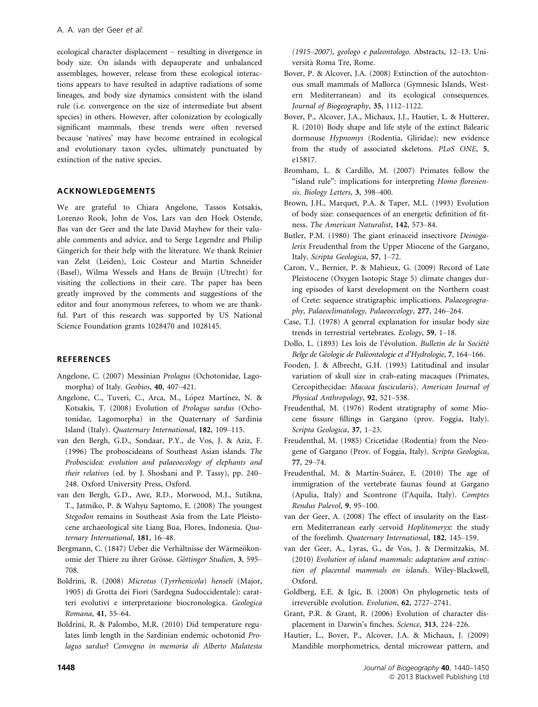ecological character displacement – resulting in divergence in body size. On islands with depauperate and unbalanced assemblages, however, release from these ecological interactions appears to have resulted in adaptive radiations of some lineages, and body size dynamics consistent with the island rule (i.e. convergence on the size of intermediate but absent species) in others. However, after colonization by ecologically significant mammals, these trends were often reversed because 'natives' may have become entrained in ecological and evolutionary taxon cycles, ultimately punctuated by extinction of the native species.

# ACKNOWLEDGEMENTS

We are grateful to Chiara Angelone, Tassos Kotsakis, Lorenzo Rook, John de Vos, Lars van den Hoek Ostende, Bas van der Geer and the late David Mayhew for their valuable comments and advice, and to Serge Legendre and Philip Gingerich for their help with the literature. We thank Reinier van Zelst (Leiden), Loic Costeur and Martin Schneider (Basel), Wilma Wessels and Hans de Bruijn (Utrecht) for visiting the collections in their care. The paper has been greatly improved by the comments and suggestions of the editor and four anonymous referees, to whom we are thankful. Part of this research was supported by US National Science Foundation grants 1028470 and 1028145.

# **REFERENCES**

- Angelone, C. (2007) Messinian Prolagus (Ochotonidae, Lagomorpha) of Italy. Geobios, 40, 407–421.
- Angelone, C., Tuveri, C., Arca, M., López Martínez, N. & Kotsakis, T. (2008) Evolution of Prolagus sardus (Ochotonidae, Lagomorpha) in the Quaternary of Sardinia Island (Italy). Quaternary International, 182, 109–115.
- van den Bergh, G.D., Sondaar, P.Y., de Vos, J. & Aziz, F. (1996) The proboscideans of Southeast Asian islands. The Proboscidea: evolution and palaeoecology of elephants and their relatives (ed. by J. Shoshani and P. Tassy), pp. 240– 248. Oxford University Press, Oxford.
- van den Bergh, G.D., Awe, R.D., Morwood, M.J., Sutikna, T., Jatmiko, P. & Wahyu Saptomo, E. (2008) The youngest Stegodon remains in Southeast Asia from the Late Pleistocene archaeological site Liang Bua, Flores, Indonesia. Quaternary International, 181, 16–48.
- Bergmann, C. (1847) Ueber die Verhältnisse der Wärmeökonomie der Thiere zu ihrer Grösse. Göttinger Studien, 3, 595– 708.
- Boldrini, R. (2008) Microtus (Tyrrhenicola) henseli (Major, 1905) di Grotta dei Fiori (Sardegna Sudoccidentale): caratteri evolutivi e interpretazione biocronologica. Geologica Romana, 41, 55–64.
- Boldrini, R. & Palombo, M.R. (2010) Did temperature regulates limb length in the Sardinian endemic ochotonid Prolagus sardus? Convegno in memoria di Alberto Malatesta

(1915–2007), geologo e paleontologo. Abstracts, 12–13. Universita Roma Tre, Rome.

- Bover, P. & Alcover, J.A. (2008) Extinction of the autochtonous small mammals of Mallorca (Gymnesic Islands, Western Mediterranean) and its ecological consequences. Journal of Biogeography, 35, 1112–1122.
- Bover, P., Alcover, J.A., Michaux, J.J., Hautier, L. & Hutterer, R. (2010) Body shape and life style of the extinct Balearic dormouse Hypnomys (Rodentia, Gliridae): new evidence from the study of associated skeletons. PLoS ONE, 5, e15817.
- Bromham, L. & Cardillo, M. (2007) Primates follow the "island rule": implications for interpreting Homo floresiensis. Biology Letters, 3, 398–400.
- Brown, J.H., Marquet, P.A. & Taper, M.L. (1993) Evolution of body size: consequences of an energetic definition of fitness. The American Naturalist, 142, 573–84.
- Butler, P.M. (1980) The giant erinaceid insectivore Deinogalerix Freudenthal from the Upper Miocene of the Gargano, Italy. Scripta Geologica, 57, 1–72.
- Caron, V., Bernier, P. & Mahieux, G. (2009) Record of Late Pleistocene (Oxygen Isotopic Stage 5) climate changes during episodes of karst development on the Northern coast of Crete: sequence stratigraphic implications. Palaeogeography, Palaeoclimatology, Palaeoecology, 277, 246–264.
- Case, T.J. (1978) A general explanation for insular body size trends in terrestrial vertebrates. Ecology, 59, 1–18.
- Dollo, L. (1893) Les lois de l'évolution. Bulletin de la Société Belge de Géologie de Paléontologie et d'Hydrologie, 7, 164-166.
- Fooden, J. & Albrecht, G.H. (1993) Latitudinal and insular variation of skull size in crab-eating macaques (Primates, Cercopithecidae: Macaca fascicularis). American Journal of Physical Anthropology, 92, 521–538.
- Freudenthal, M. (1976) Rodent stratigraphy of some Miocene fissure fillings in Gargano (prov. Foggia, Italy). Scripta Geologica, 37, 1–23.
- Freudenthal, M. (1985) Cricetidae (Rodentia) from the Neogene of Gargano (Prov. of Foggia, Italy). Scripta Geologica, 77, 29–74.
- Freudenthal, M. & Martín-Suárez, E. (2010) The age of immigration of the vertebrate faunas found at Gargano (Apulia, Italy) and Scontrone (l'Aquila, Italy). Comptes Rendus Palevol, 9, 95–100.
- van der Geer, A. (2008) The effect of insularity on the Eastern Mediterranean early cervoid Hoplitomeryx: the study of the forelimb. Quaternary International, 182, 145–159.
- van der Geer, A., Lyras, G., de Vos, J. & Dermitzakis, M. (2010) Evolution of island mammals: adaptation and extinction of placental mammals on islands. Wiley-Blackwell, Oxford.
- Goldberg, E.E. & Igic, B. (2008) On phylogenetic tests of irreversible evolution. Evolution, 62, 2727–2741.
- Grant, P.R. & Grant, R. (2006) Evolution of character displacement in Darwin's finches. Science, 313, 224–226.
- Hautier, L., Bover, P., Alcover, J.A. & Michaux, J. (2009) Mandible morphometrics, dental microwear pattern, and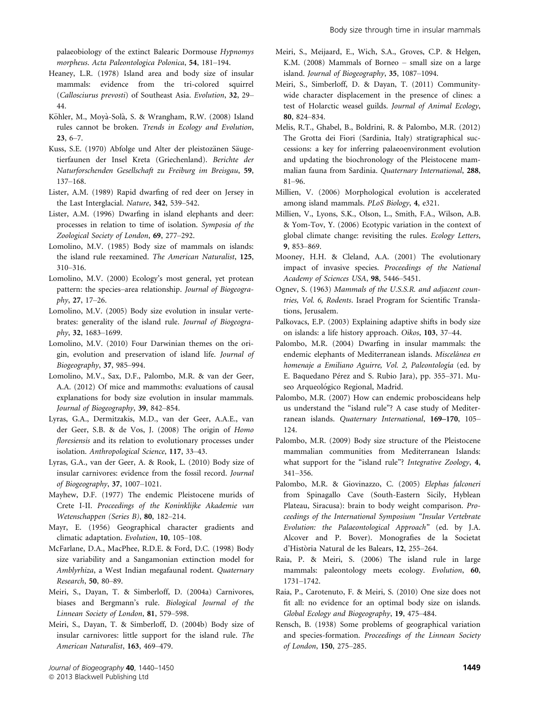palaeobiology of the extinct Balearic Dormouse Hypnomys morpheus. Acta Paleontologica Polonica, 54, 181–194.

- Heaney, L.R. (1978) Island area and body size of insular mammals: evidence from the tri-colored squirrel (Callosciurus prevosti) of Southeast Asia. Evolution, 32, 29– 44.
- Köhler, M., Moyà-Solà, S. & Wrangham, R.W. (2008) Island rules cannot be broken. Trends in Ecology and Evolution, 23, 6–7.
- Kuss, S.E. (1970) Abfolge und Alter der pleistozänen Säugetierfaunen der Insel Kreta (Griechenland). Berichte der Naturforschenden Gesellschaft zu Freiburg im Breisgau, 59, 137–168.
- Lister, A.M. (1989) Rapid dwarfing of red deer on Jersey in the Last Interglacial. Nature, 342, 539–542.
- Lister, A.M. (1996) Dwarfing in island elephants and deer: processes in relation to time of isolation. Symposia of the Zoological Society of London, 69, 277–292.
- Lomolino, M.V. (1985) Body size of mammals on islands: the island rule reexamined. The American Naturalist, 125, 310–316.
- Lomolino, M.V. (2000) Ecology's most general, yet protean pattern: the species–area relationship. Journal of Biogeography, 27, 17–26.
- Lomolino, M.V. (2005) Body size evolution in insular vertebrates: generality of the island rule. Journal of Biogeography, 32, 1683–1699.
- Lomolino, M.V. (2010) Four Darwinian themes on the origin, evolution and preservation of island life. Journal of Biogeography, 37, 985–994.
- Lomolino, M.V., Sax, D.F., Palombo, M.R. & van der Geer, A.A. (2012) Of mice and mammoths: evaluations of causal explanations for body size evolution in insular mammals. Journal of Biogeography, 39, 842–854.
- Lyras, G.A., Dermitzakis, M.D., van der Geer, A.A.E., van der Geer, S.B. & de Vos, J. (2008) The origin of Homo floresiensis and its relation to evolutionary processes under isolation. Anthropological Science, 117, 33–43.
- Lyras, G.A., van der Geer, A. & Rook, L. (2010) Body size of insular carnivores: evidence from the fossil record. Journal of Biogeography, 37, 1007–1021.
- Mayhew, D.F. (1977) The endemic Pleistocene murids of Crete I-II. Proceedings of the Koninklijke Akademie van Wetenschappen (Series B), 80, 182–214.
- Mayr, E. (1956) Geographical character gradients and climatic adaptation. Evolution, 10, 105–108.
- McFarlane, D.A., MacPhee, R.D.E. & Ford, D.C. (1998) Body size variability and a Sangamonian extinction model for Amblyrhiza, a West Indian megafaunal rodent. Quaternary Research, 50, 80–89.
- Meiri, S., Dayan, T. & Simberloff, D. (2004a) Carnivores, biases and Bergmann's rule. Biological Journal of the Linnean Society of London, 81, 579–598.
- Meiri, S., Dayan, T. & Simberloff, D. (2004b) Body size of insular carnivores: little support for the island rule. The American Naturalist, 163, 469–479.
- Meiri, S., Meijaard, E., Wich, S.A., Groves, C.P. & Helgen, K.M. (2008) Mammals of Borneo – small size on a large island. Journal of Biogeography, 35, 1087–1094.
- Meiri, S., Simberloff, D. & Dayan, T. (2011) Communitywide character displacement in the presence of clines: a test of Holarctic weasel guilds. Journal of Animal Ecology, 80, 824–834.
- Melis, R.T., Ghabel, B., Boldrini, R. & Palombo, M.R. (2012) The Grotta dei Fiori (Sardinia, Italy) stratigraphical successions: a key for inferring palaeoenvironment evolution and updating the biochronology of the Pleistocene mammalian fauna from Sardinia. Quaternary International, 288, 81–96.
- Millien, V. (2006) Morphological evolution is accelerated among island mammals. PLoS Biology, 4, e321.
- Millien, V., Lyons, S.K., Olson, L., Smith, F.A., Wilson, A.B. & Yom-Tov, Y. (2006) Ecotypic variation in the context of global climate change: revisiting the rules. Ecology Letters, 9, 853–869.
- Mooney, H.H. & Cleland, A.A. (2001) The evolutionary impact of invasive species. Proceedings of the National Academy of Sciences USA, 98, 5446–5451.
- Ognev, S. (1963) Mammals of the U.S.S.R. and adjacent countries, Vol. 6, Rodents. Israel Program for Scientific Translations, Jerusalem.
- Palkovacs, E.P. (2003) Explaining adaptive shifts in body size on islands: a life history approach. Oikos, 103, 37–44.
- Palombo, M.R. (2004) Dwarfing in insular mammals: the endemic elephants of Mediterranean islands. Miscelánea en homenaje a Emiliano Aguirre, Vol. 2, Paleontología (ed. by E. Baquedano Pérez and S. Rubio Jara), pp. 355-371. Museo Arqueológico Regional, Madrid.
- Palombo, M.R. (2007) How can endemic proboscideans help us understand the "island rule"? A case study of Mediterranean islands. Quaternary International, 169–170, 105– 124.
- Palombo, M.R. (2009) Body size structure of the Pleistocene mammalian communities from Mediterranean Islands: what support for the "island rule"? Integrative Zoology, 4, 341–356.
- Palombo, M.R. & Giovinazzo, C. (2005) Elephas falconeri from Spinagallo Cave (South-Eastern Sicily, Hyblean Plateau, Siracusa): brain to body weight comparison. Proceedings of the International Symposium "Insular Vertebrate Evolution: the Palaeontological Approach" (ed. by J.A. Alcover and P. Bover). Monografies de la Societat d'Historia Natural de les Balears, 12, 255–264.
- Raia, P. & Meiri, S. (2006) The island rule in large mammals: paleontology meets ecology. Evolution, 60, 1731–1742.
- Raia, P., Carotenuto, F. & Meiri, S. (2010) One size does not fit all: no evidence for an optimal body size on islands. Global Ecology and Biogeography, 19, 475–484.
- Rensch, B. (1938) Some problems of geographical variation and species-formation. Proceedings of the Linnean Society of London, 150, 275–285.